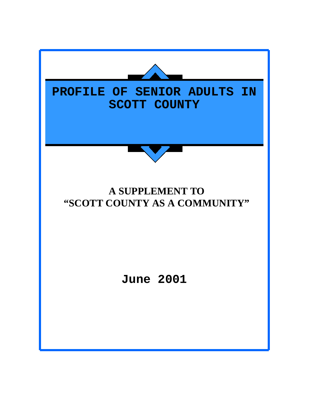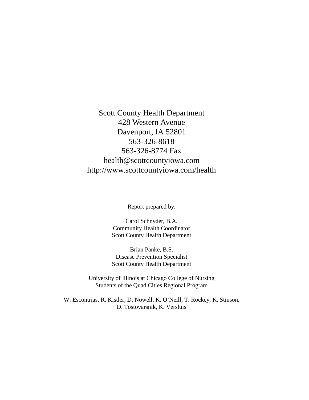Scott County Health Department 428 Western Avenue Davenport, IA 52801 563-326-8618 563-326-8774 Fax health@scottcountyiowa.com http://www.scottcountyiowa.com/health

Report prepared by:

Carol Schnyder, B.A. Community Health Coordinator Scott County Health Department

Brian Panke, B.S. Disease Prevention Specialist Scott County Health Department

University of Illinois at Chicago College of Nursing Students of the Quad Cities Regional Program

W. Escontrias, R. Kistler, D. Nowell, K. O'Neill, T. Rockey, K. Stinson, D. Tostovarsnik, K. Versluis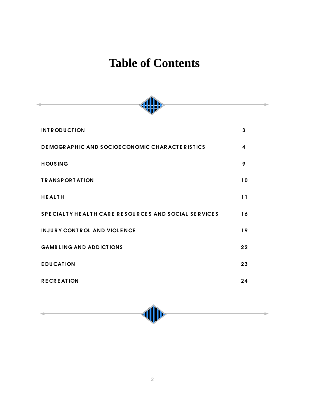# **Table of Contents**

| <b>INTRODUCTION</b>                                 | $\mathbf{3}$           |  |  |
|-----------------------------------------------------|------------------------|--|--|
| DE MOGRAPHIC AND SOCIOE CONOMIC CHARACTERISTICS     | $\boldsymbol{\Lambda}$ |  |  |
| <b>HOUSING</b>                                      | 9                      |  |  |
| <b>TRANSPORTATION</b>                               | 10                     |  |  |
| <b>HEALTH</b>                                       | 11                     |  |  |
| SPECIALTY HEALTH CARE RESOURCES AND SOCIAL SERVICES | 16                     |  |  |
| <b>INJURY CONTROL AND VIOLENCE</b>                  | 19                     |  |  |
| <b>GAMBLING AND ADDICTIONS</b>                      | 22                     |  |  |
| <b>EDUCATION</b>                                    | 23                     |  |  |
| <b>RECREATION</b>                                   | 24                     |  |  |
|                                                     |                        |  |  |

 $\begin{tabular}{c} \bf (l)} \end{tabular}$ 

٠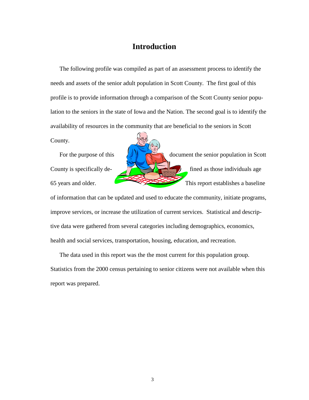# **Introduction**

The following profile was compiled as part of an assessment process to identify the needs and assets of the senior adult population in Scott County. The first goal of this profile is to provide information through a comparison of the Scott County senior population to the seniors in the state of Iowa and the Nation. The second goal is to identify the availability of resources in the community that are beneficial to the seniors in Scott

County.

For the purpose of this  $\|A\|$  document the senior population in Scott County is specifically de-  $\sqrt{1 + \frac{1}{\sqrt{1 + \frac{1}{\sqrt{1 + \frac{1}{\sqrt{1 + \frac{1}{\sqrt{1 + \frac{1}{\sqrt{1 + \frac{1}{\sqrt{1 + \frac{1}{\sqrt{1 + \frac{1}{\sqrt{1 + \frac{1}{\sqrt{1 + \frac{1}{\sqrt{1 + \frac{1}{\sqrt{1 + \frac{1}{\sqrt{1 + \frac{1}{\sqrt{1 + \frac{1}{\sqrt{1 + \frac{1}{\sqrt{1 + \frac{1}{\sqrt{1 + \frac{1}{\sqrt{1 + \frac{1}{\sqrt{1 + \frac{1}{\sqrt{$ 65 years and older. This report establishes a baseline

of information that can be updated and used to educate the community, initiate programs, improve services, or increase the utilization of current services. Statistical and descriptive data were gathered from several categories including demographics, economics, health and social services, transportation, housing, education, and recreation.

The data used in this report was the the most current for this population group. Statistics from the 2000 census pertaining to senior citizens were not available when this report was prepared.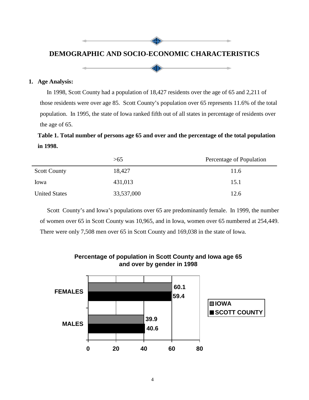# **DEMOGRAPHIC AND SOCIO-ECONOMIC CHARACTERISTICS**

dlle



#### **1. Age Analysis:**

In 1998, Scott County had a population of 18,427 residents over the age of 65 and 2,211 of those residents were over age 85. Scott County's population over 65 represents 11.6% of the total population. In 1995, the state of Iowa ranked fifth out of all states in percentage of residents over the age of 65.

# **Table 1. Total number of persons age 65 and over and the percentage of the total population in 1998.**

|                      | >65        | Percentage of Population |
|----------------------|------------|--------------------------|
| <b>Scott County</b>  | 18,427     | 11.6                     |
| lowa                 | 431,013    | 15.1                     |
| <b>United States</b> | 33,537,000 | 12.6                     |

Scott County's and Iowa's populations over 65 are predominantly female. In 1999, the number of women over 65 in Scott County was 10,965, and in Iowa, women over 65 numbered at 254,449. There were only 7,508 men over 65 in Scott County and 169,038 in the state of Iowa.



### **Percentage of population in Scott County and Iowa age 65 and over by gender in 1998**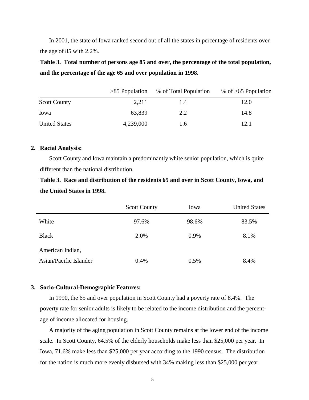In 2001, the state of Iowa ranked second out of all the states in percentage of residents over the age of 85 with 2.2%.

**Table 3. Total number of persons age 85 and over, the percentage of the total population, and the percentage of the age 65 and over population in 1998.**

|                      | $>85$ Population | % of Total Population | % of $>65$ Population |
|----------------------|------------------|-----------------------|-----------------------|
| <b>Scott County</b>  | 2,211            | 1.4                   | 12.0                  |
| Iowa                 | 63,839           | 2.2                   | 14.8                  |
| <b>United States</b> | 4,239,000        | 1.6                   | 12.1                  |

#### **2. Racial Analysis:**

Scott County and Iowa maintain a predominantly white senior population, which is quite different than the national distribution.

**Table 3. Race and distribution of the residents 65 and over in Scott County, Iowa, and the United States in 1998.**

|                        | <b>Scott County</b> | Iowa  | <b>United States</b> |
|------------------------|---------------------|-------|----------------------|
| White                  | 97.6%               | 98.6% | 83.5%                |
| <b>Black</b>           | 2.0%                | 0.9%  | 8.1%                 |
| American Indian,       |                     |       |                      |
| Asian/Pacific Islander | 0.4%                | 0.5%  | 8.4%                 |

#### **3. Socio-Cultural-Demographic Features:**

In 1990, the 65 and over population in Scott County had a poverty rate of 8.4%. The poverty rate for senior adults is likely to be related to the income distribution and the percentage of income allocated for housing.

A majority of the aging population in Scott County remains at the lower end of the income scale. In Scott County, 64.5% of the elderly households make less than \$25,000 per year. In Iowa, 71.6% make less than \$25,000 per year according to the 1990 census. The distribution for the nation is much more evenly disbursed with 34% making less than \$25,000 per year.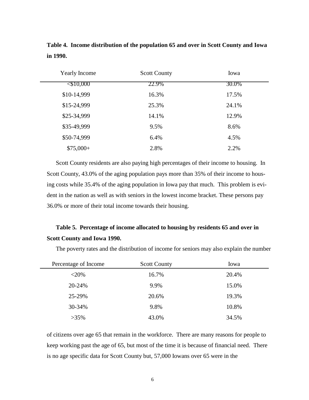| <b>Yearly Income</b> | <b>Scott County</b> | Iowa  |  |
|----------------------|---------------------|-------|--|
| <\$10,000            | 22.9%               | 30.0% |  |
| \$10-14,999          | 16.3%               | 17.5% |  |
| \$15-24,999          | 25.3%               | 24.1% |  |
| \$25-34,999          | 14.1%               | 12.9% |  |
| \$35-49,999          | 9.5%                | 8.6%  |  |
| \$50-74,999          | 6.4%                | 4.5%  |  |
| $$75,000+$           | 2.8%                | 2.2%  |  |

**Table 4. Income distribution of the population 65 and over in Scott County and Iowa in 1990.**

Scott County residents are also paying high percentages of their income to housing. In Scott County, 43.0% of the aging population pays more than 35% of their income to housing costs while 35.4% of the aging population in Iowa pay that much. This problem is evident in the nation as well as with seniors in the lowest income bracket. These persons pay 36.0% or more of their total income towards their housing.

# **Table 5. Percentage of income allocated to housing by residents 65 and over in Scott County and Iowa 1990.**

| Percentage of Income | <b>Scott County</b> | Iowa  |
|----------------------|---------------------|-------|
| $<$ 20%              | 16.7%               | 20.4% |
| 20-24%               | 9.9%                | 15.0% |
| 25-29%               | 20.6%               | 19.3% |
| 30-34%               | 9.8%                | 10.8% |
| $>35\%$              | 43.0%               | 34.5% |

The poverty rates and the distribution of income for seniors may also explain the number

of citizens over age 65 that remain in the workforce. There are many reasons for people to keep working past the age of 65, but most of the time it is because of financial need. There is no age specific data for Scott County but, 57,000 Iowans over 65 were in the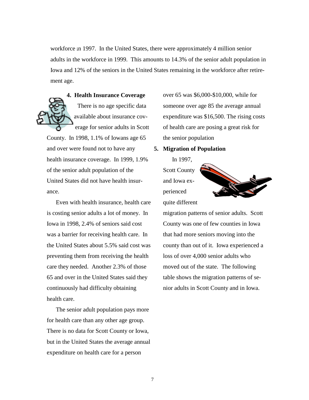workforce in 1997. In the United States, there were approximately 4 million senior adults in the workforce in 1999. This amounts to 14.3% of the senior adult population in Iowa and 12% of the seniors in the United States remaining in the workforce after retirement age.



**4. Health Insurance Coverage** There is no age specific data available about insurance coverage for senior adults in Scott

County. In 1998, 1.1% of Iowans age 65 and over were found not to have any health insurance coverage. In 1999, 1.9% of the senior adult population of the United States did not have health insurance.

Even with health insurance, health care is costing senior adults a lot of money. In Iowa in 1998, 2.4% of seniors said cost was a barrier for receiving health care. In the United States about 5.5% said cost was preventing them from receiving the health care they needed. Another 2.3% of those 65 and over in the United States said they continuously had difficulty obtaining health care.

The senior adult population pays more for health care than any other age group. There is no data for Scott County or Iowa, but in the United States the average annual expenditure on health care for a person

over 65 was \$6,000-\$10,000, while for someone over age 85 the average annual expenditure was \$16,500. The rising costs of health care are posing a great risk for the senior population

#### **5. Migration of Population**

In 1997, Scott County and Iowa experienced quite different



migration patterns of senior adults. Scott County was one of few counties in Iowa that had more seniors moving into the county than out of it. Iowa experienced a loss of over 4,000 senior adults who moved out of the state. The following table shows the migration patterns of senior adults in Scott County and in Iowa.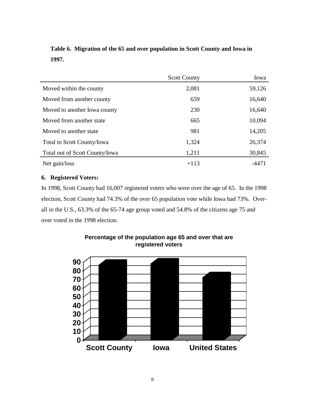|                                | <b>Scott County</b> | Iowa   |
|--------------------------------|---------------------|--------|
| Moved within the county        | 2,081               | 59,126 |
| Moved from another county      | 659                 | 16,640 |
| Moved to another Iowa county   | 230                 | 16,640 |
| Moved from another state       | 665                 | 10,094 |
| Moved to another state         | 981                 | 14,205 |
| Total to Scott County/Iowa     | 1,324               | 26,374 |
| Total out of Scott County/Iowa | 1,211               | 30,845 |
| Net gain/loss                  | $+113$              | -4471  |

# **Table 6. Migration of the 65 and over population in Scott County and Iowa in 1997.**

### **6. Registered Voters:**

In 1998, Scott County had 16,007 registered voters who were over the age of 65. In the 1998 election, Scott County had 74.3% of the over 65 population vote while Iowa had 73%. Overall in the U.S., 63.3% of the 65-74 age group voted and 54.8% of the citizens age 75 and over voted in the 1998 election.



**Percentage of the population age 65 and over that are registered voters**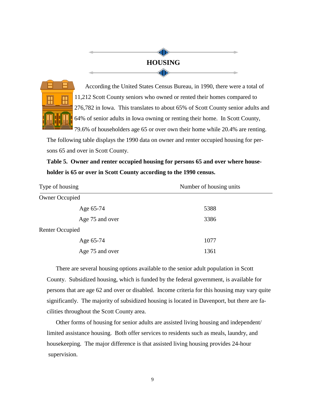# **HOUSING**

 $\left( \left\| \mathbf{p} \right\| \right)$ 

dD



According the United States Census Bureau, in 1990, there were a total of 11,212 Scott County seniors who owned or rented their homes compared to 276,782 in Iowa. This translates to about 65% of Scott County senior adults and 64% of senior adults in Iowa owning or renting their home. In Scott County, 79.6% of householders age 65 or over own their home while 20.4% are renting.

The following table displays the 1990 data on owner and renter occupied housing for persons 65 and over in Scott County.

# **Table 5. Owner and renter occupied housing for persons 65 and over where householder is 65 or over in Scott County according to the 1990 census.**

| Type of housing        | Number of housing units |  |
|------------------------|-------------------------|--|
| <b>Owner Occupied</b>  |                         |  |
| Age 65-74              | 5388                    |  |
| Age 75 and over        | 3386                    |  |
| <b>Renter Occupied</b> |                         |  |
| Age 65-74              | 1077                    |  |
| Age 75 and over        | 1361                    |  |

There are several housing options available to the senior adult population in Scott County. Subsidized housing, which is funded by the federal government, is available for persons that are age 62 and over or disabled. Income criteria for this housing may vary quite significantly. The majority of subsidized housing is located in Davenport, but there are facilities throughout the Scott County area.

Other forms of housing for senior adults are assisted living housing and independent/ limited assistance housing. Both offer services to residents such as meals, laundry, and housekeeping. The major difference is that assisted living housing provides 24-hour supervision.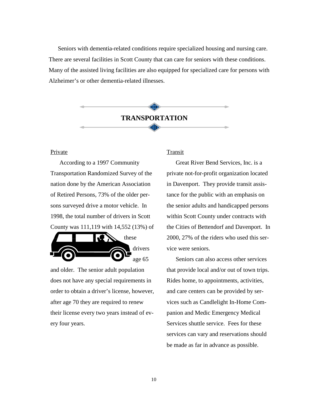Seniors with dementia-related conditions require specialized housing and nursing care. There are several facilities in Scott County that can care for seniors with these conditions. Many of the assisted living facilities are also equipped for specialized care for persons with Alzheimer's or other dementia-related illnesses.



#### Private

According to a 1997 Community Transportation Randomized Survey of the nation done by the American Association of Retired Persons, 73% of the older persons surveyed drive a motor vehicle. In 1998, the total number of drivers in Scott County was 111,119 with 14,552 (13%) of



and older. The senior adult population does not have any special requirements in order to obtain a driver's license, however, after age 70 they are required to renew their license every two years instead of every four years.

#### **Transit**

Great River Bend Services, Inc. is a private not-for-profit organization located in Davenport. They provide transit assistance for the public with an emphasis on the senior adults and handicapped persons within Scott County under contracts with the Cities of Bettendorf and Davenport. In 2000, 27% of the riders who used this service were seniors.

Seniors can also access other services that provide local and/or out of town trips. Rides home, to appointments, activities, and care centers can be provided by services such as Candlelight In-Home Companion and Medic Emergency Medical Services shuttle service. Fees for these services can vary and reservations should be made as far in advance as possible.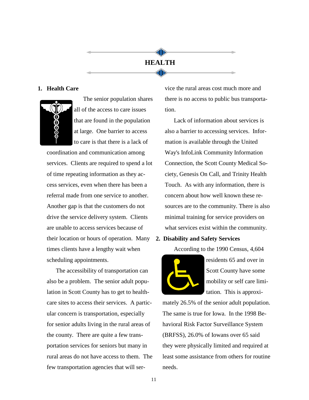# **HEALTH**

dlle

**dll**lle

#### **1. Health Care**



The senior population shares all of the access to care issues that are found in the population at large. One barrier to access to care is that there is a lack of

coordination and communication among services. Clients are required to spend a lot of time repeating information as they access services, even when there has been a referral made from one service to another. Another gap is that the customers do not drive the service delivery system. Clients are unable to access services because of their location or hours of operation. Many times clients have a lengthy wait when scheduling appointments.

The accessibility of transportation can also be a problem. The senior adult population in Scott County has to get to healthcare sites to access their services. A particular concern is transportation, especially for senior adults living in the rural areas of the county. There are quite a few transportation services for seniors but many in rural areas do not have access to them. The few transportation agencies that will service the rural areas cost much more and there is no access to public bus transportation.

Lack of information about services is also a barrier to accessing services. Information is available through the United Way's InfoLink Community Information Connection, the Scott County Medical Society, Genesis On Call, and Trinity Health Touch. As with any information, there is concern about how well known these resources are to the community. There is also minimal training for service providers on what services exist within the community.

#### **2. Disability and Safety Services**

According to the 1990 Census, 4,604



residents 65 and over in Scott County have some mobility or self care limitation. This is approxi-

mately 26.5% of the senior adult population. The same is true for Iowa. In the 1998 Behavioral Risk Factor Surveillance System (BRFSS), 26.0% of Iowans over 65 said they were physically limited and required at least some assistance from others for routine needs.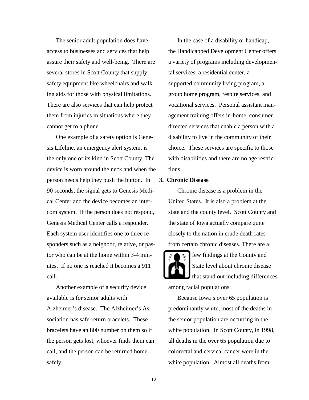The senior adult population does have access to businesses and services that help assure their safety and well-being. There are several stores in Scott County that supply safety equipment like wheelchairs and walking aids for those with physical limitations. There are also services that can help protect them from injuries in situations where they cannot get to a phone.

One example of a safety option is Genesis Lifeline, an emergency alert system, is the only one of its kind in Scott County. The device is worn around the neck and when the person needs help they push the button. In 90 seconds, the signal gets to Genesis Medical Center and the device becomes an intercom system. If the person does not respond, Genesis Medical Center calls a responder. Each system user identifies one to three responders such as a neighbor, relative, or pastor who can be at the home within 3-4 minutes. If no one is reached it becomes a 911 call.

Another example of a security device available is for senior adults with Alzheimer's disease. The Alzheimer's Association has safe-return bracelets. These bracelets have an 800 number on them so if the person gets lost, whoever finds them can call, and the person can be returned home safely.

In the case of a disability or handicap, the Handicapped Development Center offers a variety of programs including developmental services, a residential center, a supported community living program, a group home program, respite services, and vocational services. Personal assistant management training offers in-home, consumer directed services that enable a person with a disability to live in the community of their choice. These services are specific to those with disabilities and there are no age restrictions.

#### **3. Chronic Disease**

Chronic disease is a problem in the United States. It is also a problem at the state and the county level. Scott County and the state of Iowa actually compare quite closely to the nation in crude death rates from certain chronic diseases. There are a

few findings at the County and State level about chronic disease that stand out including differences among racial populations.

Because Iowa's over 65 population is predominantly white, most of the deaths in the senior population are occurring in the white population. In Scott County, in 1998, all deaths in the over 65 population due to colorectal and cervical cancer were in the white population. Almost all deaths from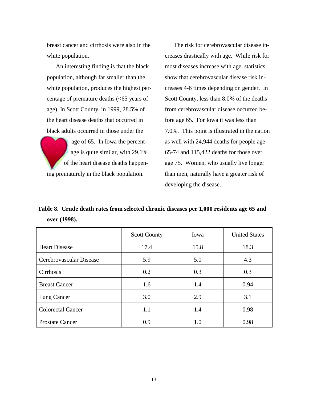breast cancer and cirrhosis were also in the white population.

An interesting finding is that the black population, although far smaller than the white population, produces the highest percentage of premature deaths (<65 years of age). In Scott County, in 1999, 28.5% of the heart disease deaths that occurred in black adults occurred in those under the

age of 65. In Iowa the percentage is quite similar, with 29.1% of the heart disease deaths happening prematurely in the black population.

The risk for cerebrovascular disease increases drastically with age. While risk for most diseases increase with age, statistics show that cerebrovascular disease risk increases 4-6 times depending on gender. In Scott County, less than 8.0% of the deaths from cerebrovascular disease occurred before age 65. For Iowa it was less than 7.0%. This point is illustrated in the nation as well with 24,944 deaths for people age 65-74 and 115,422 deaths for those over age 75. Women, who usually live longer than men, naturally have a greater risk of developing the disease.

**Table 8. Crude death rates from selected chronic diseases per 1,000 residents age 65 and over (1998).**

|                          | <b>Scott County</b> | Iowa | <b>United States</b> |
|--------------------------|---------------------|------|----------------------|
| <b>Heart Disease</b>     | 17.4                | 15.8 | 18.3                 |
| Cerebrovascular Disease  | 5.9                 | 5.0  | 4.3                  |
| Cirrhosis                | 0.2                 | 0.3  | 0.3                  |
| <b>Breast Cancer</b>     | 1.6                 | 1.4  | 0.94                 |
| Lung Cancer              | 3.0                 | 2.9  | 3.1                  |
| <b>Colorectal Cancer</b> | 1.1                 | 1.4  | 0.98                 |
| <b>Prostate Cancer</b>   | 0.9                 | 1.0  | 0.98                 |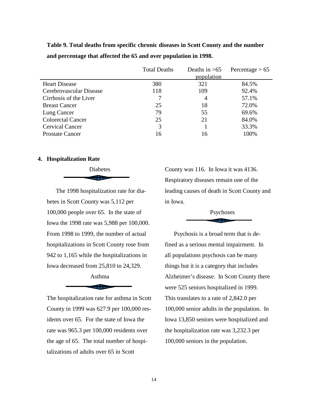**Table 9. Total deaths from specific chronic diseases in Scott County and the number and percentage that affected the 65 and over population in 1998.**

|                          | <b>Total Deaths</b> | Deaths in $>65$ | Percentage $> 65$ |
|--------------------------|---------------------|-----------------|-------------------|
|                          |                     | population      |                   |
| <b>Heart Disease</b>     | 380                 | 321             | 84.5%             |
| Cerebrovascular Disease  | 118                 | 109             | 92.4%             |
| Cirrhosis of the Liver   | 7                   | 4               | 57.1%             |
| <b>Breast Cancer</b>     | 25                  | 18              | 72.0%             |
| Lung Cancer              | 79                  | 55              | 69.6%             |
| <b>Colorectal Cancer</b> | 25                  | 21              | 84.0%             |
| <b>Cervical Cancer</b>   | 3                   |                 | 33.3%             |
| <b>Prostate Cancer</b>   | 16                  | 16              | 100%              |

#### **4. Hospitalization Rate**

Diabetes aillinn-

The 1998 hospitalization rate for diabetes in Scott County was 5,112 per 100,000 people over 65. In the state of Iowa the 1998 rate was 5,988 per 100,000. From 1998 to 1999, the number of actual hospitalizations in Scott County rose from 942 to 1,165 while the hospitalizations in Iowa decreased from 25,810 to 24,329.

# Asthma **Summer**

The hospitalization rate for asthma in Scott County in 1999 was 627.9 per 100,000 residents over 65. For the state of Iowa the rate was 965.3 per 100,000 residents over the age of 65. The total number of hospitalizations of adults over 65 in Scott

County was 116. In Iowa it was 4136. Respiratory diseases remain one of the leading causes of death in Scott County and in Iowa.

#### Psychoses . . . . . . . . . . . .

Psychosis is a broad term that is defined as a serious mental impairment. In all populations psychosis can be many things but it is a category that includes Alzheimer's disease. In Scott County there were 525 seniors hospitalized in 1999. This translates to a rate of 2,842.0 per 100,000 senior adults in the population. In Iowa 13,850 seniors were hospitalized and the hospitalization rate was 3,232.3 per 100,000 seniors in the population.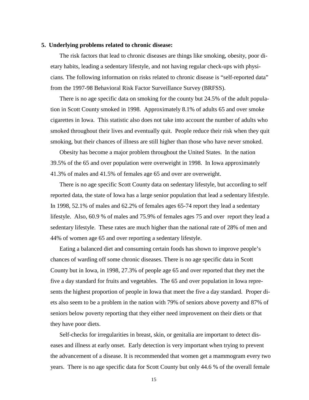#### **5. Underlying problems related to chronic disease:**

The risk factors that lead to chronic diseases are things like smoking, obesity, poor dietary habits, leading a sedentary lifestyle, and not having regular check-ups with physicians. The following information on risks related to chronic disease is "self-reported data" from the 1997-98 Behavioral Risk Factor Surveillance Survey (BRFSS).

There is no age specific data on smoking for the county but 24.5% of the adult population in Scott County smoked in 1998. Approximately 8.1% of adults 65 and over smoke cigarettes in Iowa. This statistic also does not take into account the number of adults who smoked throughout their lives and eventually quit. People reduce their risk when they quit smoking, but their chances of illness are still higher than those who have never smoked.

Obesity has become a major problem throughout the United States. In the nation 39.5% of the 65 and over population were overweight in 1998. In Iowa approximately 41.3% of males and 41.5% of females age 65 and over are overweight.

There is no age specific Scott County data on sedentary lifestyle, but according to self reported data, the state of Iowa has a large senior population that lead a sedentary lifestyle. In 1998, 52.1% of males and 62.2% of females ages 65-74 report they lead a sedentary lifestyle. Also, 60.9 % of males and 75.9% of females ages 75 and over report they lead a sedentary lifestyle. These rates are much higher than the national rate of 28% of men and 44% of women age 65 and over reporting a sedentary lifestyle.

Eating a balanced diet and consuming certain foods has shown to improve people's chances of warding off some chronic diseases. There is no age specific data in Scott County but in Iowa, in 1998, 27.3% of people age 65 and over reported that they met the five a day standard for fruits and vegetables. The 65 and over population in Iowa represents the highest proportion of people in Iowa that meet the five a day standard. Proper diets also seem to be a problem in the nation with 79% of seniors above poverty and 87% of seniors below poverty reporting that they either need improvement on their diets or that they have poor diets.

Self-checks for irregularities in breast, skin, or genitalia are important to detect diseases and illness at early onset. Early detection is very important when trying to prevent the advancement of a disease. It is recommended that women get a mammogram every two years. There is no age specific data for Scott County but only 44.6 % of the overall female

15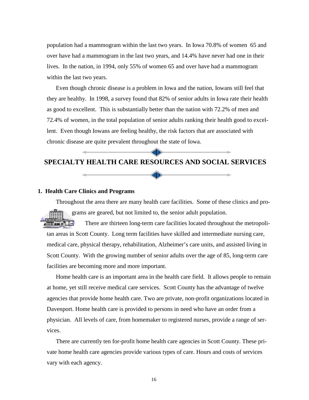population had a mammogram within the last two years. In Iowa 70.8% of women 65 and over have had a mammogram in the last two years, and 14.4% have never had one in their lives. In the nation, in 1994, only 55% of women 65 and over have had a mammogram within the last two years.

Even though chronic disease is a problem in Iowa and the nation, Iowans still feel that they are healthy. In 1998, a survey found that 82% of senior adults in Iowa rate their health as good to excellent. This is substantially better than the nation with 72.2% of men and 72.4% of women, in the total population of senior adults ranking their health good to excellent. Even though Iowans are feeling healthy, the risk factors that are associated with chronic disease are quite prevalent throughout the state of Iowa.

### **SPECIALTY HEALTH CARE RESOURCES AND SOCIAL SERVICES**

dlle

1110

#### **1. Health Care Clinics and Programs**

Throughout the area there are many health care facilities. Some of these clinics and programs are geared, but not limited to, the senior adult population.

**All of the Card** There are thirteen long-term care facilities located throughout the metropolitan areas in Scott County. Long term facilities have skilled and intermediate nursing care, medical care, physical therapy, rehabilitation, Alzheimer's care units, and assisted living in Scott County. With the growing number of senior adults over the age of 85, long-term care facilities are becoming more and more important.

Home health care is an important area in the health care field. It allows people to remain at home, yet still receive medical care services. Scott County has the advantage of twelve agencies that provide home health care. Two are private, non-profit organizations located in Davenport. Home health care is provided to persons in need who have an order from a physician. All levels of care, from homemaker to registered nurses, provide a range of services.

There are currently ten for-profit home health care agencies in Scott County. These private home health care agencies provide various types of care. Hours and costs of services vary with each agency.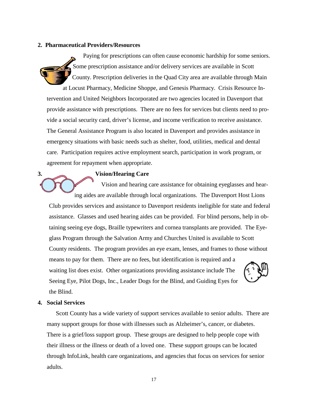#### **2. Pharmaceutical Providers/Resources**

Paying for prescriptions can often cause economic hardship for some seniors. Some prescription assistance and/or delivery services are available in Scott County. Prescription deliveries in the Quad City area are available through Main at Locust Pharmacy, Medicine Shoppe, and Genesis Pharmacy. Crisis Resource In-

tervention and United Neighbors Incorporated are two agencies located in Davenport that provide assistance with prescriptions. There are no fees for services but clients need to provide a social security card, driver's license, and income verification to receive assistance. The General Assistance Program is also located in Davenport and provides assistance in emergency situations with basic needs such as shelter, food, utilities, medical and dental care. Participation requires active employment search, participation in work program, or agreement for repayment when appropriate.

#### **3. Vision/Hearing Care**

Vision and hearing care assistance for obtaining eyeglasses and hearing aides are available through local organizations. The Davenport Host Lions

Club provides services and assistance to Davenport residents ineligible for state and federal assistance. Glasses and used hearing aides can be provided. For blind persons, help in obtaining seeing eye dogs, Braille typewriters and cornea transplants are provided. The Eyeglass Program through the Salvation Army and Churches United is available to Scott County residents. The program provides an eye exam, lenses, and frames to those without means to pay for them. There are no fees, but identification is required and a waiting list does exist. Other organizations providing assistance include The Seeing Eye, Pilot Dogs, Inc., Leader Dogs for the Blind, and Guiding Eyes for the Blind.

#### **4. Social Services**

Scott County has a wide variety of support services available to senior adults. There are many support groups for those with illnesses such as Alzheimer's, cancer, or diabetes. There is a grief/loss support group. These groups are designed to help people cope with their illness or the illness or death of a loved one. These support groups can be located through InfoLink, health care organizations, and agencies that focus on services for senior adults.

17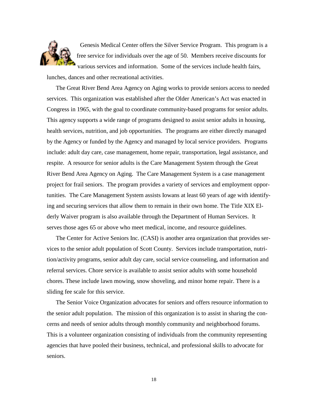

Genesis Medical Center offers the Silver Service Program. This program is a free service for individuals over the age of 50. Members receive discounts for various services and information. Some of the services include health fairs,

lunches, dances and other recreational activities.

The Great River Bend Area Agency on Aging works to provide seniors access to needed services. This organization was established after the Older American's Act was enacted in Congress in 1965, with the goal to coordinate community-based programs for senior adults. This agency supports a wide range of programs designed to assist senior adults in housing, health services, nutrition, and job opportunities. The programs are either directly managed by the Agency or funded by the Agency and managed by local service providers. Programs include: adult day care, case management, home repair, transportation, legal assistance, and respite. A resource for senior adults is the Care Management System through the Great River Bend Area Agency on Aging. The Care Management System is a case management project for frail seniors. The program provides a variety of services and employment opportunities. The Care Management System assists Iowans at least 60 years of age with identifying and securing services that allow them to remain in their own home. The Title XIX Elderly Waiver program is also available through the Department of Human Services. It serves those ages 65 or above who meet medical, income, and resource guidelines.

The Center for Active Seniors Inc. (CASI) is another area organization that provides services to the senior adult population of Scott County. Services include transportation, nutrition/activity programs, senior adult day care, social service counseling, and information and referral services. Chore service is available to assist senior adults with some household chores. These include lawn mowing, snow shoveling, and minor home repair. There is a sliding fee scale for this service.

The Senior Voice Organization advocates for seniors and offers resource information to the senior adult population. The mission of this organization is to assist in sharing the concerns and needs of senior adults through monthly community and neighborhood forums. This is a volunteer organization consisting of individuals from the community representing agencies that have pooled their business, technical, and professional skills to advocate for seniors.

18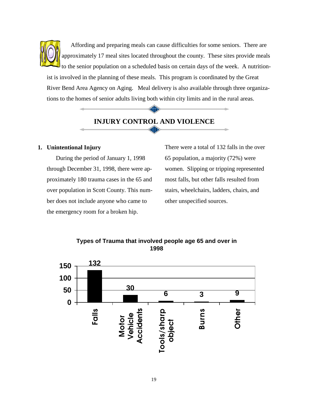Affording and preparing meals can cause difficulties for some seniors. There are approximately 17 meal sites located throughout the county. These sites provide meals to the senior population on a scheduled basis on certain days of the week. A nutritionist is involved in the planning of these meals. This program is coordinated by the Great River Bend Area Agency on Aging. Meal delivery is also available through three organizations to the homes of senior adults living both within city limits and in the rural areas.

### **INJURY CONTROL AND VIOLENCE** dlle

dle

#### **1. Unintentional Injury**

During the period of January 1, 1998 through December 31, 1998, there were approximately 180 trauma cases in the 65 and over population in Scott County. This number does not include anyone who came to the emergency room for a broken hip.

There were a total of 132 falls in the over 65 population, a majority (72%) were women. Slipping or tripping represented most falls, but other falls resulted from stairs, wheelchairs, ladders, chairs, and other unspecified sources.



**Types of Trauma that involved people age 65 and over in 1998**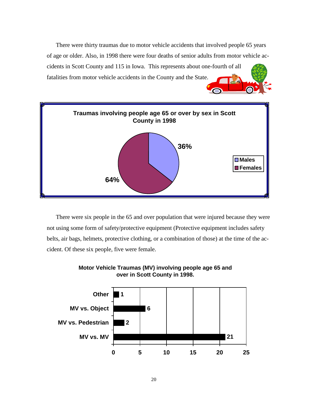There were thirty traumas due to motor vehicle accidents that involved people 65 years of age or older. Also, in 1998 there were four deaths of senior adults from motor vehicle accidents in Scott County and 115 in Iowa. This represents about one-fourth of all fatalities from motor vehicle accidents in the County and the State.



There were six people in the 65 and over population that were injured because they were not using some form of safety/protective equipment (Protective equipment includes safety belts, air bags, helmets, protective clothing, or a combination of those) at the time of the accident. Of these six people, five were female.



### **Motor Vehicle Traumas (MV) involving people age 65 and over in Scott County in 1998.**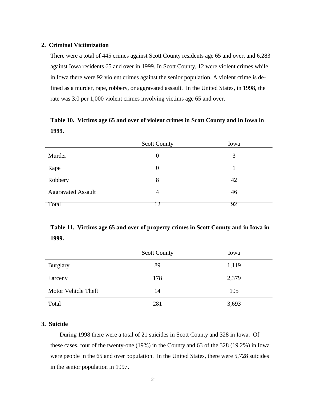#### **2. Criminal Victimization**

There were a total of 445 crimes against Scott County residents age 65 and over, and 6,283 against Iowa residents 65 and over in 1999. In Scott County, 12 were violent crimes while in Iowa there were 92 violent crimes against the senior population. A violent crime is defined as a murder, rape, robbery, or aggravated assault. In the United States, in 1998, the rate was 3.0 per 1,000 violent crimes involving victims age 65 and over.

**Table 10. Victims age 65 and over of violent crimes in Scott County and in Iowa in 1999.**

|                           | <b>Scott County</b> | Iowa |
|---------------------------|---------------------|------|
| Murder                    | $\boldsymbol{0}$    | 3    |
| Rape                      | $\theta$            |      |
| Robbery                   | 8                   | 42   |
| <b>Aggravated Assault</b> | $\overline{4}$      | 46   |
| Total                     |                     | 92   |

# **Table 11. Victims age 65 and over of property crimes in Scott County and in Iowa in 1999.**

|                     | <b>Scott County</b> | Iowa  |
|---------------------|---------------------|-------|
| <b>Burglary</b>     | 89                  | 1,119 |
| Larceny             | 178                 | 2,379 |
| Motor Vehicle Theft | 14                  | 195   |
| Total               | 281                 | 3,693 |

#### **3. Suicide**

During 1998 there were a total of 21 suicides in Scott County and 328 in Iowa. Of these cases, four of the twenty-one (19%) in the County and 63 of the 328 (19.2%) in Iowa were people in the 65 and over population. In the United States, there were 5,728 suicides in the senior population in 1997.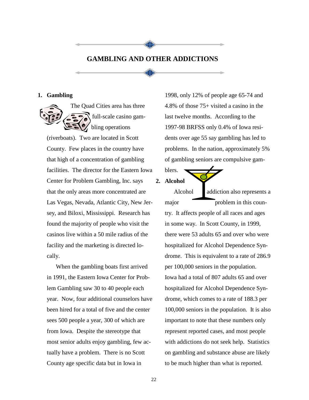# **GAMBLING AND OTHER ADDICTIONS**

41**D** 

4D)

#### **1. Gambling**

The Quad Cities area has three full-scale casino gambling operations

(riverboats). Two are located in Scott County. Few places in the country have that high of a concentration of gambling facilities. The director for the Eastern Iowa Center for Problem Gambling, Inc. says that the only areas more concentrated are Las Vegas, Nevada, Atlantic City, New Jersey, and Biloxi, Mississippi. Research has found the majority of people who visit the casinos live within a 50 mile radius of the facility and the marketing is directed locally.

When the gambling boats first arrived in 1991, the Eastern Iowa Center for Problem Gambling saw 30 to 40 people each year. Now, four additional counselors have been hired for a total of five and the center sees 500 people a year, 300 of which are from Iowa. Despite the stereotype that most senior adults enjoy gambling, few actually have a problem. There is no Scott County age specific data but in Iowa in

1998, only 12% of people age 65-74 and 4.8% of those 75+ visited a casino in the last twelve months. According to the 1997-98 BRFSS only 0.4% of Iowa residents over age 55 say gambling has led to problems. In the nation, approximately 5% of gambling seniors are compulsive gam-

blers. **2. Alcohol**

> Alcohol addiction also represents a major problem in this country. It affects people of all races and ages in some way. In Scott County, in 1999, there were 53 adults 65 and over who were hospitalized for Alcohol Dependence Syndrome. This is equivalent to a rate of 286.9 per 100,000 seniors in the population. Iowa had a total of 807 adults 65 and over hospitalized for Alcohol Dependence Syndrome, which comes to a rate of 188.3 per 100,000 seniors in the population. It is also important to note that these numbers only represent reported cases, and most people with addictions do not seek help. Statistics on gambling and substance abuse are likely to be much higher than what is reported.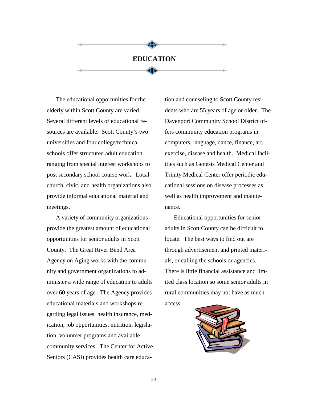### **EDUCATION**

dlle

业

The educational opportunities for the elderly within Scott County are varied. Several different levels of educational resources are available. Scott County's two universities and four college/technical schools offer structured adult education ranging from special interest workshops to post secondary school course work. Local church, civic, and health organizations also provide informal educational material and meetings.

A variety of community organizations provide the greatest amount of educational opportunities for senior adults in Scott County. The Great River Bend Area Agency on Aging works with the community and government organizations to administer a wide range of education to adults over 60 years of age. The Agency provides educational materials and workshops regarding legal issues, health insurance, medication, job opportunities, nutrition, legislation, volunteer programs and available community services. The Center for Active Seniors (CASI) provides health care education and counseling to Scott County residents who are 55 years of age or older. The Davenport Community School District offers community education programs in computers, language, dance, finance, art, exercise, disease and health. Medical facilities such as Genesis Medical Center and Trinity Medical Center offer periodic educational sessions on disease processes as well as health improvement and maintenance.

Educational opportunities for senior adults in Scott County can be difficult to locate. The best ways to find out are through advertisement and printed materials, or calling the schools or agencies. There is little financial assistance and limited class location so some senior adults in rural communities may not have as much access.

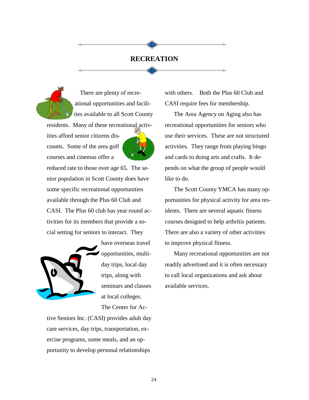### **RECREATION**

dlle

dlle



There are plenty of recreational opportunities and facilities available to all Scott County

residents. Many of these recreational activ-

ities afford senior citizens discounts. Some of the area golf courses and cinemas offer a



reduced rate to those over age 65. The senior population in Scott County does have some specific recreational opportunities available through the Plus 60 Club and CASI. The Plus 60 club has year round activities for its members that provide a social setting for seniors to interact. They



have overseas travel opportunities, multiday trips, local day trips, along with seminars and classes at local colleges. The Center for Ac-

tive Seniors Inc. (CASI) provides adult day care services, day trips, transportation, exercise programs, some meals, and an opportunity to develop personal relationships

with others. Both the Plus 60 Club and CASI require fees for membership.

The Area Agency on Aging also has recreational opportunities for seniors who use their services. These are not structured activities. They range from playing bingo and cards to doing arts and crafts. It depends on what the group of people would like to do.

The Scott County YMCA has many opportunities for physical activity for area residents. There are several aquatic fitness courses designed to help arthritis patients. There are also a variety of other activities to improve physical fitness.

Many recreational opportunities are not readily advertised and it is often necessary to call local organizations and ask about available services.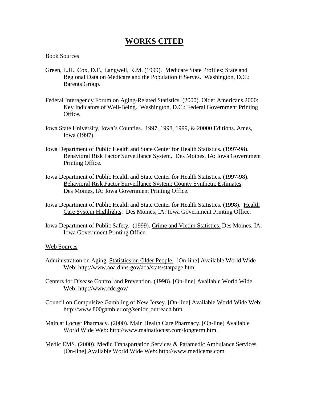# **WORKS CITED**

#### Book Sources

- Green, L.H., Cox, D.F., Langwell, K.M. (1999). Medicare State Profiles: State and Regional Data on Medicare and the Population it Serves. Washington, D.C.: Barents Group.
- Federal Interagency Forum on Aging-Related Statistics. (2000). Older Americans 2000: Key Indicators of Well-Being. Washington, D.C.: Federal Government Printing Office.
- Iowa State University, Iowa's Counties. 1997, 1998, 1999, & 20000 Editions. Ames, Iowa (1997).
- Iowa Department of Public Health and State Center for Health Statistics. (1997-98). Behavioral Risk Factor Surveillance System. Des Moines, IA: Iowa Government Printing Office.
- Iowa Department of Public Health and State Center for Health Statistics. (1997-98). Behavioral Risk Factor Surveillance System: County Synthetic Estimates. Des Moines, IA: Iowa Government Printing Office.
- Iowa Department of Public Health and State Center for Health Statistics. (1998). Health Care System Highlights. Des Moines, IA: Iowa Government Printing Office.
- Iowa Department of Public Safety. (1999). Crime and Victim Statistics. Des Moines, IA: Iowa Government Printing Office.

#### Web Sources

- Administration on Aging. Statistics on Older People. [On-line] Available World Wide Web: http://www.aoa.dhhs.gov/aoa/stats/statpage.html
- Centers for Disease Control and Prevention. (1998). [On-line] Available World Wide Web: http://www.cdc.gov/
- Council on Compulsive Gambling of New Jersey. [On-line] Available World Wide Web: http://www.800gambler.org/senior\_outreach.htm
- Main at Locust Pharmacy. (2000). Main Health Care Pharmacy. [On-line] Available World Wide Web: http://www.mainatlocust.com/longterm.html
- Medic EMS. (2000). Medic Transportation Services & Paramedic Ambulance Services. [On-line] Available World Wide Web: http://www.medicems.com